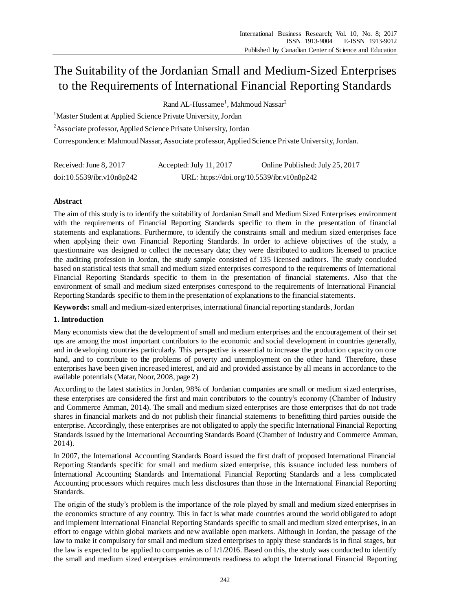# The Suitability of the Jordanian Small and Medium-Sized Enterprises to the Requirements of International Financial Reporting Standards

Rand AL-Hussamee<sup>1</sup>, Mahmoud Nassar<sup>2</sup>

<sup>1</sup>Master Student at Applied Science Private University, Jordan

<sup>2</sup>Associate professor, Applied Science Private University, Jordan

Correspondence: Mahmoud Nassar, Associate professor, Applied Science Private University, Jordan.

| Received: June 8, 2017    | Accepted: July 11, 2017                    | Online Published: July 25, 2017 |
|---------------------------|--------------------------------------------|---------------------------------|
| doi:10.5539/ibr.v10n8p242 | URL: https://doi.org/10.5539/ibr.v10n8p242 |                                 |

# **Abstract**

The aim of this study is to identify the suitability of Jordanian Small and Medium Sized Enterprises environment with the requirements of Financial Reporting Standards specific to them in the presentation of financial statements and explanations. Furthermore, to identify the constraints small and medium sized enterprises face when applying their own Financial Reporting Standards. In order to achieve objectives of the study, a questionnaire was designed to collect the necessary data; they were distributed to auditors licensed to practice the auditing profession in Jordan, the study sample consisted of 135 licensed auditors. The study concluded based on statistical tests that small and medium sized enterprises correspond to the requirements of International Financial Reporting Standards specific to them in the presentation of financial statements. Also that the environment of small and medium sized enterprises correspond to the requirements of International Financial Reporting Standards specific to them in the presentation of explanations to the financial statements.

**Keywords:** small and medium-sized enterprises, international financial reporting standards,Jordan

# **1. Introduction**

Many economists view that the development of small and medium enterprises and the encouragement of their set ups are among the most important contributors to the economic and social development in countries generally, and in developing countries particularly. This perspective is essential to increase the production capacity on one hand, and to contribute to the problems of poverty and unemployment on the other hand. Therefore, these enterprises have been given increased interest, and aid and provided assistance by all means in accordance to the available potentials (Matar, Noor, 2008, page 2)

According to the latest statistics in Jordan, 98% of Jordanian companies are small or medium sized enterprises, these enterprises are considered the first and main contributors to the country's economy (Chamber of Industry and Commerce Amman, 2014). The small and medium sized enterprises are those enterprises that do not trade shares in financial markets and do not publish their financial statements to benefitting third parties outside the enterprise. Accordingly, these enterprises are not obligated to apply the specific International Financial Reporting Standards issued by the International Accounting Standards Board (Chamber of Industry and Commerce Amman, 2014).

In 2007, the International Accounting Standards Board issued the first draft of proposed International Financial Reporting Standards specific for small and medium sized enterprise, this issuance included less numbers of International Accounting Standards and International Financial Reporting Standards and a less complicated Accounting processors which requires much less disclosures than those in the International Financial Reporting Standards.

The origin of the study's problem is the importance of the role played by small and medium sized enterprises in the economics structure of any country. This in fact is what made countries around the world obligated to adopt and implement International Financial Reporting Standards specific to small and medium sized enterprises, in an effort to engage within global markets and new available open markets. Although in Jordan, the passage of the law to make it compulsory for small and medium sized enterprises to apply these standards is in final stages, but the law is expected to be applied to companies as of  $1/1/2016$ . Based on this, the study was conducted to identify the small and medium sized enterprises environments readiness to adopt the International Financial Reporting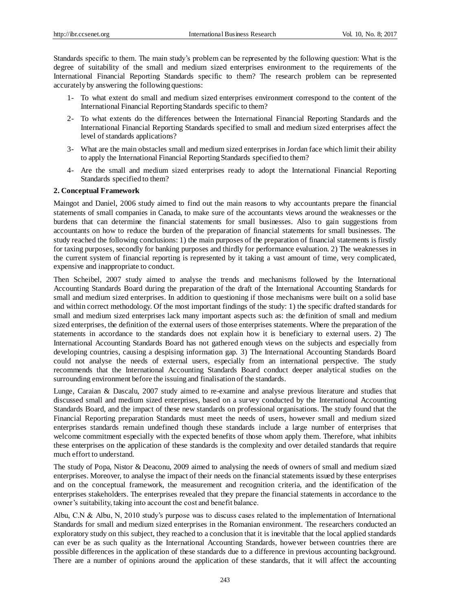Standards specific to them. The main study's problem can be represented by the following question: What is the degree of suitability of the small and medium sized enterprises environment to the requirements of the International Financial Reporting Standards specific to them? The research problem can be represented accurately by answering the following questions:

- 1- To what extent do small and medium sized enterprises environment correspond to the content of the International Financial Reporting Standards specific to them?
- 2- To what extents do the differences between the International Financial Reporting Standards and the International Financial Reporting Standards specified to small and medium sized enterprises affect the level of standards applications?
- 3- What are the main obstacles small and medium sized enterprises in Jordan face which limit their ability to apply the International Financial Reporting Standards specified to them?
- 4- Are the small and medium sized enterprises ready to adopt the International Financial Reporting Standards specified to them?

## **2. Conceptual Framework**

Maingot and Daniel, 2006 study aimed to find out the main reasons to why accountants prepare the financial statements of small companies in Canada, to make sure of the accountants views around the weaknesses or the burdens that can determine the financial statements for small businesses. Also to gain suggestions from accountants on how to reduce the burden of the preparation of financial statements for small businesses. The study reached the following conclusions: 1) the main purposes of the preparation of financial statements is firstly for taxing purposes, secondly for banking purposes and thirdly for performance evaluation. 2) The weaknesses in the current system of financial reporting is represented by it taking a vast amount of time, very complicated, expensive and inappropriate to conduct.

Then Scheibel, 2007 study aimed to analyse the trends and mechanisms followed by the International Accounting Standards Board during the preparation of the draft of the International Accounting Standards for small and medium sized enterprises. In addition to questioning if those mechanisms were built on a solid base and within correct methodology. Of the most important findings of the study: 1) the specific drafted standards for small and medium sized enterprises lack many important aspects such as: the definition of small and medium sized enterprises, the definition of the external users of those enterprises statements. Where the preparation of the statements in accordance to the standards does not explain how it is beneficiary to external users. 2) The International Accounting Standards Board has not gathered enough views on the subjects and especially from developing countries, causing a despising information gap. 3) The International Accounting Standards Board could not analyse the needs of external users, especially from an international perspective. The study recommends that the International Accounting Standards Board conduct deeper analytical studies on the surrounding environment before the issuing and finalisation of the standards.

Lunge, Caraian & Dascalu, 2007 study aimed to re-examine and analyse previous literature and studies that discussed small and medium sized enterprises, based on a survey conducted by the International Accounting Standards Board, and the impact of these new standards on professional organisations. The study found that the Financial Reporting preparation Standards must meet the needs of users, however small and medium sized enterprises standards remain undefined though these standards include a large number of enterprises that welcome commitment especially with the expected benefits of those whom apply them. Therefore, what inhibits these enterprises on the application of these standards is the complexity and over detailed standards that require much effort to understand.

The study of Popa, Nistor & Deaconu, 2009 aimed to analysing the needs of owners of small and medium sized enterprises. Moreover, to analyse the impact of their needs on the financial statements issued by these enterprises and on the conceptual framework, the measurement and recognition criteria, and the identification of the enterprises stakeholders. The enterprises revealed that they prepare the financial statements in accordance to the owner's suitability, taking into account the cost and benefit balance.

Albu, C.N & Albu, N, 2010 study's purpose was to discuss cases related to the implementation of International Standards for small and medium sized enterprises in the Romanian environment. The researchers conducted an exploratory study on this subject, they reached to a conclusion that it is inevitable that the local applied standards can ever be as such quality as the International Accounting Standards, however between countries there are possible differences in the application of these standards due to a difference in previous accounting background. There are a number of opinions around the application of these standards, that it will affect the accounting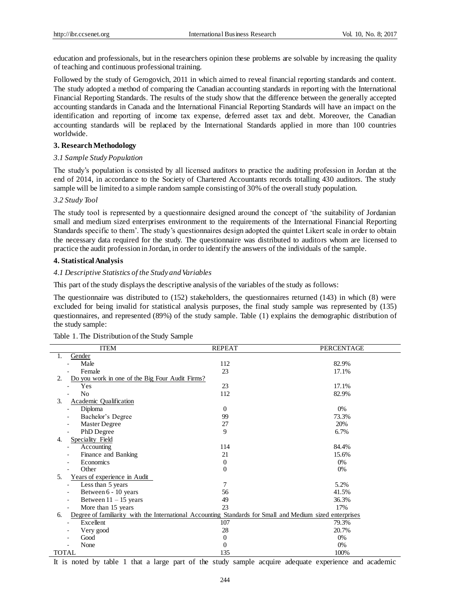education and professionals, but in the researchers opinion these problems are solvable by increasing the quality of teaching and continuous professional training.

Followed by the study of Gerogovich, 2011 in which aimed to reveal financial reporting standards and content. The study adopted a method of comparing the Canadian accounting standards in reporting with the International Financial Reporting Standards. The results of the study show that the difference between the generally accepted accounting standards in Canada and the International Financial Reporting Standards will have an impact on the identification and reporting of income tax expense, deferred asset tax and debt. Moreover, the Canadian accounting standards will be replaced by the International Standards applied in more than 100 countries worldwide.

## **3. Research Methodology**

## *3.1 Sample Study Population*

The study's population is consisted by all licensed auditors to practice the auditing profession in Jordan at the end of 2014, in accordance to the Society of Chartered Accountants records totalling 430 auditors. The study sample will be limited to a simple random sample consisting of 30% of the overall study population.

#### *3.2 Study Tool*

The study tool is represented by a questionnaire designed around the concept of 'the suitability of Jordanian small and medium sized enterprises environment to the requirements of the International Financial Reporting Standards specific to them'. The study's questionnaires design adopted the quintet Likert scale in order to obtain the necessary data required for the study. The questionnaire was distributed to auditors whom are licensed to practice the audit profession in Jordan, in order to identify the answers of the individuals of the sample.

## **4. Statistical Analysis**

#### *4.1 Descriptive Statistics of the Study and Variables*

This part of the study displays the descriptive analysis of the variables of the study as follows:

The questionnaire was distributed to (152) stakeholders, the questionnaires returned (143) in which (8) were excluded for being invalid for statistical analysis purposes, the final study sample was represented by (135) questionnaires, and represented (89%) of the study sample. Table (1) explains the demographic distribution of the study sample:

| <b>ITEM</b>                                                                                                    | <b>REPEAT</b>  | PERCENTAGE |
|----------------------------------------------------------------------------------------------------------------|----------------|------------|
| Gender<br>1.                                                                                                   |                |            |
| Male                                                                                                           | 112            | 82.9%      |
| Female                                                                                                         | 23             | 17.1%      |
| Do you work in one of the Big Four Audit Firms?<br>2.                                                          |                |            |
| Yes                                                                                                            | 23             | 17.1%      |
| No                                                                                                             | 112            | 82.9%      |
| <b>Academic Qualification</b><br>3.                                                                            |                |            |
| Diploma                                                                                                        | $\overline{0}$ | 0%         |
| Bachelor's Degree                                                                                              | 99             | 73.3%      |
| Master Degree                                                                                                  | 27             | 20%        |
| PhD Degree                                                                                                     | 9              | 6.7%       |
| Speciality Field<br>4.                                                                                         |                |            |
| Accounting                                                                                                     | 114            | 84.4%      |
| Finance and Banking                                                                                            | 21             | 15.6%      |
| Economics                                                                                                      | $\theta$       | 0%         |
| Other                                                                                                          | $\theta$       | $0\%$      |
| Years of experience in Audit<br>5.                                                                             |                |            |
| Less than 5 years                                                                                              | 7              | 5.2%       |
| Between 6 - 10 years                                                                                           | 56             | 41.5%      |
| Between $11 - 15$ years                                                                                        | 49             | 36.3%      |
| More than 15 years                                                                                             | 23             | 17%        |
| Degree of familiarity with the International Accounting Standards for Small and Medium sized enterprises<br>6. |                |            |
| Excellent                                                                                                      | 107            | 79.3%      |
| Very good                                                                                                      | 28             | 20.7%      |
| Good                                                                                                           | $\theta$       | 0%         |
| None                                                                                                           | $\Omega$       | 0%         |
| <b>TOTAL</b>                                                                                                   | 135            | 100%       |

Table 1. The Distribution of the Study Sample

It is noted by table 1 that a large part of the study sample acquire adequate experience and academic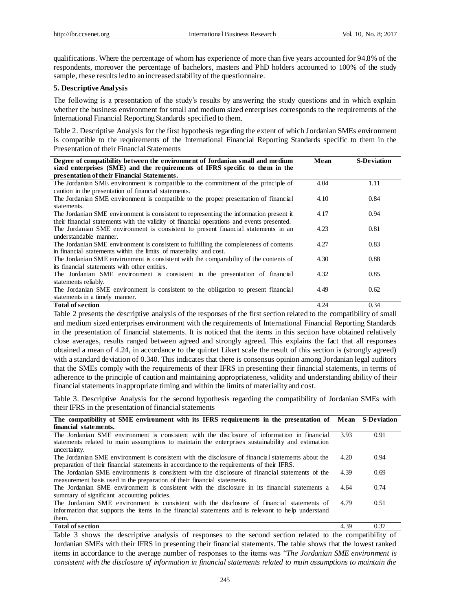qualifications. Where the percentage of whom has experience of more than five years accounted for 94.8% of the respondents, moreover the percentage of bachelors, masters and PhD holders accounted to 100% of the study sample, these results led to an increased stability of the questionnaire.

# **5. Descriptive Analysis**

The following is a presentation of the study's results by answering the study questions and in which explain whether the business environment for small and medium sized enterprises corresponds to the requirements of the International Financial Reporting Standards specified to them.

Table 2. Descriptive Analysis for the first hypothesis regarding the extent of which Jordanian SMEs environment is compatible to the requirements of the International Financial Reporting Standards specific to them in the Presentation of their Financial Statements

| Degree of compatibility between the environment of Jordanian small and medium              | Mean | <b>S-Deviation</b> |
|--------------------------------------------------------------------------------------------|------|--------------------|
| sized enterprises (SME) and the requirements of IFRS specific to them in the               |      |                    |
| presentation of their Financial Statements.                                                |      |                    |
| The Jordanian SME environment is compatible to the commitment of the principle of          | 4.04 | 1.11               |
| caution in the presentation of financial statements.                                       |      |                    |
| The Jordanian SME environment is compatible to the proper presentation of financial        | 4.10 | 0.84               |
| statements.                                                                                |      |                    |
| The Jordanian SME environment is consistent to representing the information present it     | 4.17 | 0.94               |
| their financial statements with the validity of financial operations and events presented. |      |                    |
| The Jordanian SME environment is consistent to present financial statements in an          | 4.23 | 0.81               |
| understandable manner.                                                                     |      |                    |
| The Jordanian SME environment is consistent to fulfilling the completeness of contents     | 4.27 | 0.83               |
| in financial statements within the limits of materiality and cost.                         |      |                    |
| The Jordanian SME environment is consistent with the comparability of the contents of      | 4.30 | 0.88               |
| its financial statements with other entities.                                              |      |                    |
| The Jordanian SME environment is consistent in the presentation of financial               | 4.32 | 0.85               |
| statements reliably.                                                                       |      |                    |
| The Jordanian SME environment is consistent to the obligation to present financial         | 4.49 | 0.62               |
| statements in a timely manner.                                                             |      |                    |
| <b>Total of section</b>                                                                    | 4.24 | 0.34               |

Table 2 presents the descriptive analysis of the responses of the first section related to the compatibility of small and medium sized enterprises environment with the requirements of International Financial Reporting Standards in the presentation of financial statements. It is noticed that the items in this section have obtained relatively close averages, results ranged between agreed and strongly agreed. This explains the fact that all responses obtained a mean of 4.24, in accordance to the quintet Likert scale the result of this section is (strongly agreed) with a standard deviation of 0.340. This indicates that there is consensus opinion among Jordanian legal auditors that the SMEs comply with the requirements of their IFRS in presenting their financial statements, in terms of adherence to the principle of caution and maintaining appropriateness, validity and understanding ability of their financial statements in appropriate timing and within the limits of materiality and cost.

Table 3. Descriptive Analysis for the second hypothesis regarding the compatibility of Jordanian SMEs with their IFRS in the presentation of financial statements

| The compatibility of SME environment with its IFRS requirements in the presentation of Mean S-Deviation |      |      |
|---------------------------------------------------------------------------------------------------------|------|------|
| financial statements.                                                                                   |      |      |
| The Jordanian SME environment is consistent with the disclosure of information in financial             | 3.93 | 0.91 |
| statements related to main assumptions to maintain the enterprises sustainability and estimation        |      |      |
| uncertainty.                                                                                            |      |      |
| The Jordanian SME environment is consistent with the disclosure of financial statements about the       | 4.20 | 0.94 |
| preparation of their financial statements in accordance to the requirements of their IFRS.              |      |      |
| The Jordanian SME environments is consistent with the disclosure of financial statements of the         | 4.39 | 0.69 |
| measurement basis used in the preparation of their financial statements.                                |      |      |
| The Jordanian SME environment is consistent with the disclosure in its financial statements a           | 4.64 | 0.74 |
| summary of significant accounting policies.                                                             |      |      |
| The Jordanian SME environment is consistent with the disclosure of financial statements of              | 4.79 | 0.51 |
| information that supports the items in the financial statements and is relevant to help understand      |      |      |
| them.                                                                                                   |      |      |
| <b>Total of section</b>                                                                                 | 4.39 | 0.37 |

Table 3 shows the descriptive analysis of responses to the second section related to the compatibility of Jordanian SMEs with their IFRS in presenting their financial statements. The table shows that the lowest ranked items in accordance to the average number of responses to the items was "*The Jordanian SME environment is consistent with the disclosure of information in financial statements related to main assumptions to maintain the*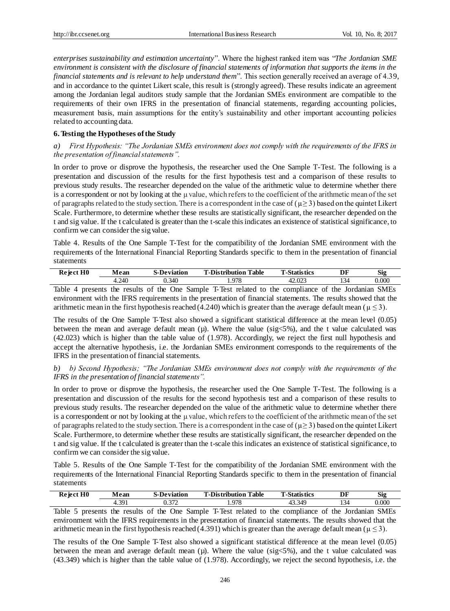*enterprises sustainability and estimation uncertainty*". Where the highest ranked item was "*The Jordanian SME*  environment is consistent with the disclosure of financial statements of information that supports the items in the *financial statements and is relevant to help understand them*". This section generally received an average of 4.39, and in accordance to the quintet Likert scale, this result is (strongly agreed). These results indicate an agreement among the Jordanian legal auditors study sample that the Jordanian SMEs environment are compatible to the requirements of their own IFRS in the presentation of financial statements, regarding accounting policies, measurement basis, main assumptions for the entity's sustainability and other important accounting policies related to accounting data.

# **6. Testing the Hypotheses of the Study**

# *a) First Hypothesis: "The Jordanian SMEs environment does not comply with the requirements of the IFRS in the presentation of financial statements".*

In order to prove or disprove the hypothesis, the researcher used the One Sample T-Test. The following is a presentation and discussion of the results for the first hypothesis test and a comparison of these results to previous study results. The researcher depended on the value of the arithmetic value to determine whether there is a correspondent or not by looking at the μ value, which refers to the coefficient of the arithmetic mean of the set of paragraphs related to the study section. There is a correspondent in the case of ( $\mu \ge 3$ ) based on the quintet Likert Scale. Furthermore, to determine whether these results are statistically significant, the researcher depended on the t and sig value. If the t calculated is greater than the t-scale this indicates an existence of statistical significance, to confirm we can consider the sig value.

Table 4. Results of the One Sample T-Test for the compatibility of the Jordanian SME environment with the requirements of the International Financial Reporting Standards specific to them in the presentation of financial statements

| H <sub>0</sub><br>Reject | Mean  | -Deviation<br>۰. | `able<br>l - Distribution | -Statistics | DF                    | <b>Sig</b> |
|--------------------------|-------|------------------|---------------------------|-------------|-----------------------|------------|
|                          | 4.240 | 0.340            | 978                       | 42.023<br>4 | $\sim$<br>$\sim$<br>⊥ | $0.000\,$  |

Table 4 presents the results of the One Sample T-Test related to the compliance of the Jordanian SMEs environment with the IFRS requirements in the presentation of financial statements. The results showed that the arithmetic mean in the first hypothesis reached (4.240) which is greater than the average default mean ( $\mu \le 3$ ).

The results of the One Sample T-Test also showed a significant statistical difference at the mean level (0.05) between the mean and average default mean  $(\mu)$ . Where the value (sig $\leq$ 5%), and the t value calculated was (42.023) which is higher than the table value of (1.978). Accordingly, we reject the first null hypothesis and accept the alternative hypothesis, i.e. the Jordanian SMEs environment corresponds to the requirements of the IFRS in the presentation of financial statements.

*b) b) Second Hypothesis; "The Jordanian SMEs environment does not comply with the requirements of the IFRS in the presentation of financial statements".*

In order to prove or disprove the hypothesis, the researcher used the One Sample T-Test. The following is a presentation and discussion of the results for the second hypothesis test and a comparison of these results to previous study results. The researcher depended on the value of the arithmetic value to determine whether there is a correspondent or not by looking at the μ value, which refers to the coefficient of the arithmetic mean of the set of paragraphs related to the study section. There is a correspondent in the case of  $(\mu \ge 3)$  based on the quintet Likert Scale. Furthermore, to determine whether these results are statistically significant, the researcher depended on the t and sig value. If the t calculated is greater than the t-scale this indicates an existence of statistical significance, to confirm we can consider the sig value.

Table 5. Results of the One Sample T-Test for the compatibility of the Jordanian SME environment with the requirements of the International Financial Reporting Standards specific to them in the presentation of financial statements

| H <sub>0</sub><br>- Kelec | Vlean | S-Deviation      | <b>CONTRACTOR</b><br>Table<br>$\sim$<br>. - Distribution | $\sim$<br>-Statistics | --                                        | Sig   |
|---------------------------|-------|------------------|----------------------------------------------------------|-----------------------|-------------------------------------------|-------|
|                           | 391   | 0.272<br>∪.J I 4 | $\alpha$<br>u<br>1.970                                   | 349<br>.              | $\sim$<br>-44<br>$\overline{\phantom{0}}$ | 0.000 |

Table 5 presents the results of the One Sample T-Test related to the compliance of the Jordanian SMEs environment with the IFRS requirements in the presentation of financial statements. The results showed that the arithmetic mean in the first hypothesis reached (4.391) which is greater than the average default mean ( $\mu \le 3$ ).

The results of the One Sample T-Test also showed a significant statistical difference at the mean level (0.05) between the mean and average default mean  $(\mu)$ . Where the value (sig <5%), and the t value calculated was (43.349) which is higher than the table value of (1.978). Accordingly, we reject the second hypothesis, i.e. the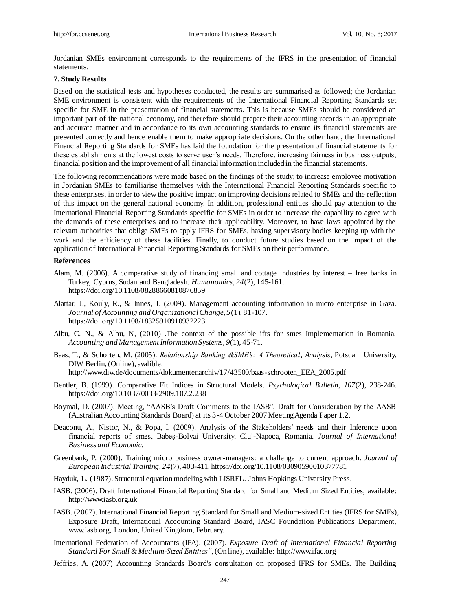Jordanian SMEs environment corresponds to the requirements of the IFRS in the presentation of financial statements.

## **7. Study Results**

Based on the statistical tests and hypotheses conducted, the results are summarised as followed; the Jordanian SME environment is consistent with the requirements of the International Financial Reporting Standards set specific for SME in the presentation of financial statements. This is because SMEs should be considered an important part of the national economy, and therefore should prepare their accounting records in an appropriate and accurate manner and in accordance to its own accounting standards to ensure its financial statements are presented correctly and hence enable them to make appropriate decisions. On the other hand, the International Financial Reporting Standards for SMEs has laid the foundation for the presentation of financial statements for these establishments at the lowest costs to serve user's needs. Therefore, increasing fairness in business outputs, financial position and the improvement of all financial information included in the financial statements.

The following recommendations were made based on the findings of the study; to increase employee motivation in Jordanian SMEs to familiarise themselves with the International Financial Reporting Standards specific to these enterprises, in order to view the positive impact on improving decisions related to SMEs and the reflection of this impact on the general national economy. In addition, professional entities should pay attention to the International Financial Reporting Standards specific for SMEs in order to increase the capability to agree with the demands of these enterprises and to increase their applicability. Moreover, to have laws appointed by the relevant authorities that oblige SMEs to apply IFRS for SMEs, having supervisory bodies keeping up with the work and the efficiency of these facilities. Finally, to conduct future studies based on the impact of the application of International Financial Reporting Standards for SMEs on their performance.

## **References**

- Alam, M. (2006). A comparative study of financing small and cottage industries by interest free banks in Turkey, Cyprus, Sudan and Bangladesh. *Humanomics, 24*(2), 145-161. https://doi.org/10.1108/08288660810876859
- Alattar, J., Kouly, R., & Innes, J. (2009). Management accounting information in micro enterprise in Gaza. *Journal of Accounting and Organizational Change, 5*(1), 81-107. https://doi.org/10.1108/18325910910932223
- Albu, C. N., & Albu, N, (2010) .The context of the possible ifrs for smes Implementation in Romania. *Accounting and Management Information Systems, 9*(1), 45-71.
- Baas, T., & Schorten, M. (2005). *Relationship Banking &SME's: A Theoretical, Analysis,* Potsdam University, DIW Berlin, (Online), avalible: [http://www.diw.de/documents/dokumentenarchiv/17/43500/baas-schrooten\\_EEA\\_2005.pdf](http://www.diw.de/documents/dokumentenarchiv/17/43500/baas-schrooten_EEA_2005.pdf)
- Bentler, B. (1999). Comparative Fit Indices in Structural Models. *Psychological Bulletin, 107*(2), 238-246. https://doi.org/10.1037/0033-2909.107.2.238
- Boymal, D. (2007). Meeting, "AASB's Draft Comments to the IASB", Draft for Consideration by the AASB (Australian Accounting Standards Board) at its 3-4 October 2007 Meeting Agenda Paper 1.2.
- Deaconu, A., Nistor, N., & Popa, I. (2009). Analysis of the Stakeholders' needs and their Inference upon financial reports of smes, Babeş-Bolyai University, Cluj-Napoca, Romania. *Journal of International Business and Economic.*
- Greenbank, P. (2000). Training micro business owner-managers: a challenge to current approach. *Journal of European Industrial Training, 24*(7), 403-411. https://doi.org/10.1108/03090590010377781
- Hayduk, L. (1987). Structural equation modeling with LISREL. Johns Hopkings University Press.
- IASB. (2006). Draft International Financial Reporting Standard for Small and Medium Sized Entities, available: http:/[/www.iasb.org.uk](http://www.iasb.org.uk/)
- IASB. (2007). International Financial Reporting Standard for Small and Medium-sized Entities (IFRS for SMEs), Exposure Draft, International Accounting Standard Board, IASC Foundation Publications Department, [www.iasb.org,](http://www.iasb.org/) London, United Kingdom, February.
- International Federation of Accountants (IFA). (2007). *Exposure Draft of International Financial Reporting Standard For Small & Medium-Sized Entities"*, (On line), available: http:/[/www.ifac.org](http://www.ifac.org/)
- Jeffries, A. (2007) Accounting Standards Board's consultation on proposed IFRS for SMEs. The Building